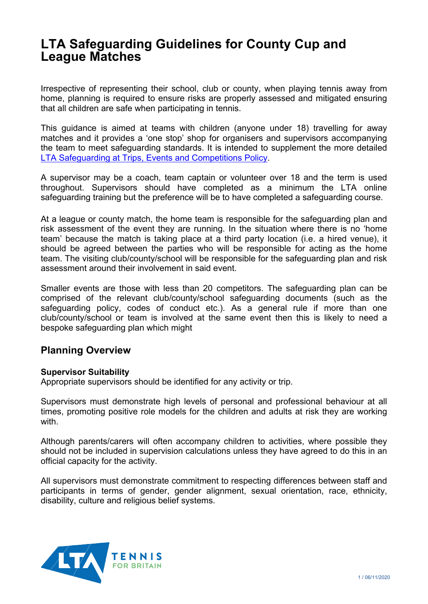# **LTA Safeguarding Guidelines for County Cup and League Matches**

Irrespective of representing their school, club or county, when playing tennis away from home, planning is required to ensure risks are properly assessed and mitigated ensuring that all children are safe when participating in tennis.

This guidance is aimed at teams with children (anyone under 18) travelling for away matches and it provides a 'one stop' shop for organisers and supervisors accompanying the team to meet safeguarding standards. It is intended to supplement the more detailed [LTA Safeguarding at Trips, Events and Competitions Policy.](https://www.lta.org.uk/globalassets/counties/resources/appendix---guidelines-on-safeguarding-at-events-activities-and-competitions.pdf)

A supervisor may be a coach, team captain or volunteer over 18 and the term is used throughout. Supervisors should have completed as a minimum the LTA online safeguarding training but the preference will be to have completed a safeguarding course.

At a league or county match, the home team is responsible for the safeguarding plan and risk assessment of the event they are running. In the situation where there is no 'home team' because the match is taking place at a third party location (i.e. a hired venue), it should be agreed between the parties who will be responsible for acting as the home team. The visiting club/county/school will be responsible for the safeguarding plan and risk assessment around their involvement in said event.

Smaller events are those with less than 20 competitors. The safeguarding plan can be comprised of the relevant club/county/school safeguarding documents (such as the safeguarding policy, codes of conduct etc.). As a general rule if more than one club/county/school or team is involved at the same event then this is likely to need a bespoke safeguarding plan which might

# **Planning Overview**

## **Supervisor Suitability**

Appropriate supervisors should be identified for any activity or trip.

Supervisors must demonstrate high levels of personal and professional behaviour at all times, promoting positive role models for the children and adults at risk they are working with.

Although parents/carers will often accompany children to activities, where possible they should not be included in supervision calculations unless they have agreed to do this in an official capacity for the activity.

All supervisors must demonstrate commitment to respecting differences between staff and participants in terms of gender, gender alignment, sexual orientation, race, ethnicity, disability, culture and religious belief systems.

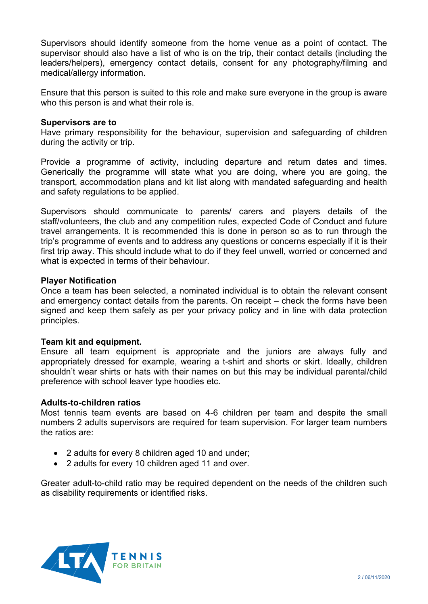Supervisors should identify someone from the home venue as a point of contact. The supervisor should also have a list of who is on the trip, their contact details (including the leaders/helpers), emergency contact details, consent for any photography/filming and medical/allergy information.

Ensure that this person is suited to this role and make sure everyone in the group is aware who this person is and what their role is.

## **Supervisors are to**

Have primary responsibility for the behaviour, supervision and safeguarding of children during the activity or trip.

Provide a programme of activity, including departure and return dates and times. Generically the programme will state what you are doing, where you are going, the transport, accommodation plans and kit list along with mandated safeguarding and health and safety regulations to be applied.

Supervisors should communicate to parents/ carers and players details of the staff/volunteers, the club and any competition rules, expected Code of Conduct and future travel arrangements. It is recommended this is done in person so as to run through the trip's programme of events and to address any questions or concerns especially if it is their first trip away. This should include what to do if they feel unwell, worried or concerned and what is expected in terms of their behaviour.

## **Player Notification**

Once a team has been selected, a nominated individual is to obtain the relevant consent and emergency contact details from the parents. On receipt – check the forms have been signed and keep them safely as per your privacy policy and in line with data protection principles.

#### **Team kit and equipment.**

Ensure all team equipment is appropriate and the juniors are always fully and appropriately dressed for example, wearing a t-shirt and shorts or skirt. Ideally, children shouldn't wear shirts or hats with their names on but this may be individual parental/child preference with school leaver type hoodies etc.

#### **Adults-to-children ratios**

Most tennis team events are based on 4-6 children per team and despite the small numbers 2 adults supervisors are required for team supervision. For larger team numbers the ratios are:

- 2 adults for every 8 children aged 10 and under;
- 2 adults for every 10 children aged 11 and over.

Greater adult-to-child ratio may be required dependent on the needs of the children such as disability requirements or identified risks.

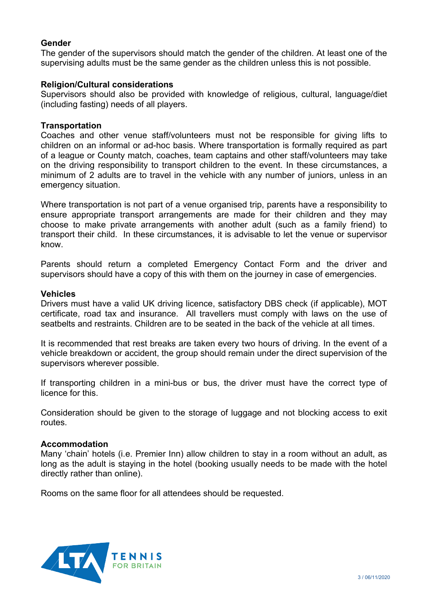## **Gender**

The gender of the supervisors should match the gender of the children. At least one of the supervising adults must be the same gender as the children unless this is not possible.

## **Religion/Cultural considerations**

Supervisors should also be provided with knowledge of religious, cultural, language/diet (including fasting) needs of all players.

#### **Transportation**

Coaches and other venue staff/volunteers must not be responsible for giving lifts to children on an informal or ad-hoc basis. Where transportation is formally required as part of a league or County match, coaches, team captains and other staff/volunteers may take on the driving responsibility to transport children to the event. In these circumstances, a minimum of 2 adults are to travel in the vehicle with any number of juniors, unless in an emergency situation.

Where transportation is not part of a venue organised trip, parents have a responsibility to ensure appropriate transport arrangements are made for their children and they may choose to make private arrangements with another adult (such as a family friend) to transport their child. In these circumstances, it is advisable to let the venue or supervisor know.

Parents should return a completed Emergency Contact Form and the driver and supervisors should have a copy of this with them on the journey in case of emergencies.

#### **Vehicles**

Drivers must have a valid UK driving licence, satisfactory DBS check (if applicable), MOT certificate, road tax and insurance. All travellers must comply with laws on the use of seatbelts and restraints. Children are to be seated in the back of the vehicle at all times.

It is recommended that rest breaks are taken every two hours of driving. In the event of a vehicle breakdown or accident, the group should remain under the direct supervision of the supervisors wherever possible.

If transporting children in a mini-bus or bus, the driver must have the correct type of licence for this.

Consideration should be given to the storage of luggage and not blocking access to exit routes.

#### **Accommodation**

Many 'chain' hotels (i.e. Premier Inn) allow children to stay in a room without an adult, as long as the adult is staying in the hotel (booking usually needs to be made with the hotel directly rather than online).

Rooms on the same floor for all attendees should be requested.

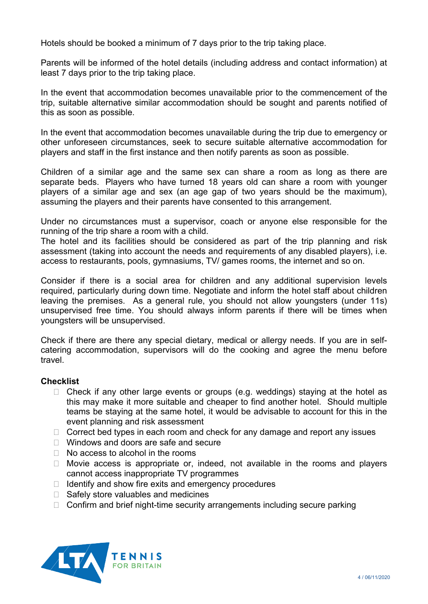Hotels should be booked a minimum of 7 days prior to the trip taking place.

Parents will be informed of the hotel details (including address and contact information) at least 7 days prior to the trip taking place.

In the event that accommodation becomes unavailable prior to the commencement of the trip, suitable alternative similar accommodation should be sought and parents notified of this as soon as possible.

In the event that accommodation becomes unavailable during the trip due to emergency or other unforeseen circumstances, seek to secure suitable alternative accommodation for players and staff in the first instance and then notify parents as soon as possible.

Children of a similar age and the same sex can share a room as long as there are separate beds. Players who have turned 18 years old can share a room with younger players of a similar age and sex (an age gap of two years should be the maximum), assuming the players and their parents have consented to this arrangement.

Under no circumstances must a supervisor, coach or anyone else responsible for the running of the trip share a room with a child.

The hotel and its facilities should be considered as part of the trip planning and risk assessment (taking into account the needs and requirements of any disabled players), i.e. access to restaurants, pools, gymnasiums, TV/ games rooms, the internet and so on.

Consider if there is a social area for children and any additional supervision levels required, particularly during down time. Negotiate and inform the hotel staff about children leaving the premises. As a general rule, you should not allow youngsters (under 11s) unsupervised free time. You should always inform parents if there will be times when youngsters will be unsupervised.

Check if there are there any special dietary, medical or allergy needs. If you are in selfcatering accommodation, supervisors will do the cooking and agree the menu before travel.

## **Checklist**

- $\Box$  Check if any other large events or groups (e.g. weddings) staying at the hotel as this may make it more suitable and cheaper to find another hotel. Should multiple teams be staying at the same hotel, it would be advisable to account for this in the event planning and risk assessment
- $\Box$  Correct bed types in each room and check for any damage and report any issues
- □ Windows and doors are safe and secure
- $\Box$  No access to alcohol in the rooms
- $\Box$  Movie access is appropriate or, indeed, not available in the rooms and players cannot access inappropriate TV programmes
- $\Box$  Identify and show fire exits and emergency procedures
- $\Box$  Safely store valuables and medicines
- $\Box$  Confirm and brief night-time security arrangements including secure parking

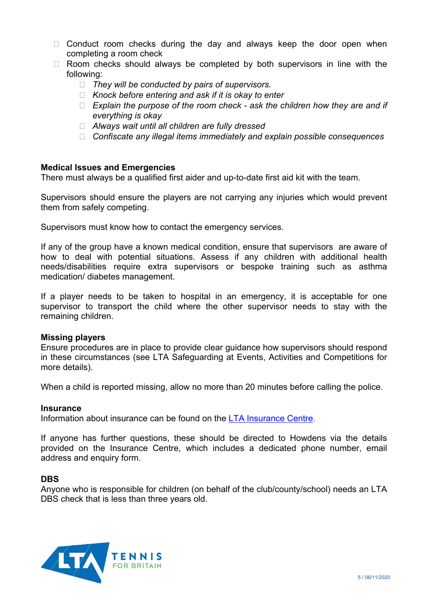- $\Box$  Conduct room checks during the day and always keep the door open when completing a room check
- $\Box$  Room checks should always be completed by both supervisors in line with the following:
	- *They will be conducted by pairs of supervisors.*
	- *Knock before entering and ask if it is okay to enter*
	- *Explain the purpose of the room check - ask the children how they are and if everything is okay*
	- *Always wait until all children are fully dressed*
	- *Confiscate any illegal items immediately and explain possible consequences*

## **Medical Issues and Emergencies**

There must always be a qualified first aider and up-to-date first aid kit with the team.

Supervisors should ensure the players are not carrying any injuries which would prevent them from safely competing.

Supervisors must know how to contact the emergency services.

If any of the group have a known medical condition, ensure that supervisors are aware of how to deal with potential situations. Assess if any children with additional health needs/disabilities require extra supervisors or bespoke training such as asthma medication/ diabetes management.

If a player needs to be taken to hospital in an emergency, it is acceptable for one supervisor to transport the child where the other supervisor needs to stay with the remaining children.

#### **Missing players**

Ensure procedures are in place to provide clear guidance how supervisors should respond in these circumstances (see LTA Safeguarding at Events, Activities and Competitions for more details).

When a child is reported missing, allow no more than 20 minutes before calling the police.

#### **Insurance**

Information about insurance can be found on the [LTA Insurance Centre.](http://www.lta-insurance-centre.com/)

If anyone has further questions, these should be directed to Howdens via the details provided on the Insurance Centre, which includes a dedicated phone number, email address and enquiry form.

## **DBS**

Anyone who is responsible for children (on behalf of the club/county/school) needs an LTA DBS check that is less than three years old.

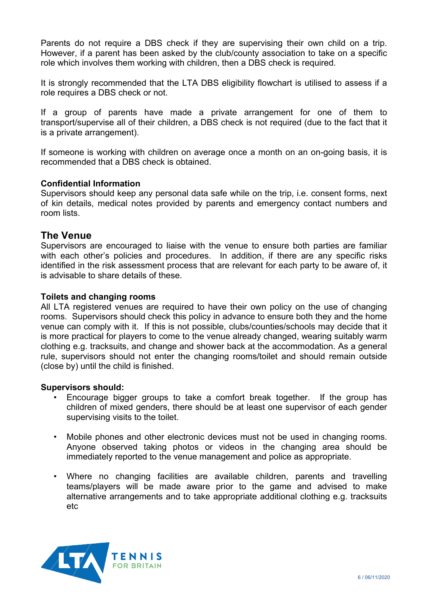Parents do not require a DBS check if they are supervising their own child on a trip. However, if a parent has been asked by the club/county association to take on a specific role which involves them working with children, then a DBS check is required.

It is strongly recommended that the LTA DBS eligibility flowchart is utilised to assess if a role requires a DBS check or not.

If a group of parents have made a private arrangement for one of them to transport/supervise all of their children, a DBS check is not required (due to the fact that it is a private arrangement).

If someone is working with children on average once a month on an on-going basis, it is recommended that a DBS check is obtained.

## **Confidential Information**

Supervisors should keep any personal data safe while on the trip, i.e. consent forms, next of kin details, medical notes provided by parents and emergency contact numbers and room lists.

## **The Venue**

Supervisors are encouraged to liaise with the venue to ensure both parties are familiar with each other's policies and procedures. In addition, if there are any specific risks identified in the risk assessment process that are relevant for each party to be aware of, it is advisable to share details of these.

## **Toilets and changing rooms**

All LTA registered venues are required to have their own policy on the use of changing rooms. Supervisors should check this policy in advance to ensure both they and the home venue can comply with it. If this is not possible, clubs/counties/schools may decide that it is more practical for players to come to the venue already changed, wearing suitably warm clothing e.g. tracksuits, and change and shower back at the accommodation. As a general rule, supervisors should not enter the changing rooms/toilet and should remain outside (close by) until the child is finished.

#### **Supervisors should:**

- Encourage bigger groups to take a comfort break together. If the group has children of mixed genders, there should be at least one supervisor of each gender supervising visits to the toilet.
- Mobile phones and other electronic devices must not be used in changing rooms. Anyone observed taking photos or videos in the changing area should be immediately reported to the venue management and police as appropriate.
- Where no changing facilities are available children, parents and travelling teams/players will be made aware prior to the game and advised to make alternative arrangements and to take appropriate additional clothing e.g. tracksuits etc

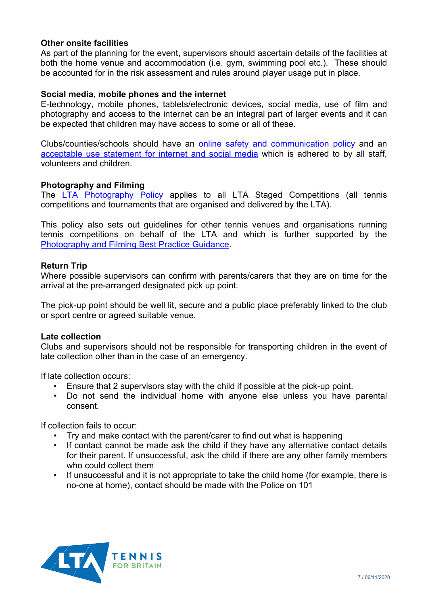## **Other onsite facilities**

As part of the planning for the event, supervisors should ascertain details of the facilities at both the home venue and accommodation (i.e. gym, swimming pool etc.). These should be accounted for in the risk assessment and rules around player usage put in place.

## **Social media, mobile phones and the internet**

E-technology, mobile phones, tablets/electronic devices, social media, use of film and photography and access to the internet can be an integral part of larger events and it can be expected that children may have access to some or all of these.

Clubs/counties/schools should have an [online safety and communication policy](https://www.lta.org.uk/globalassets/about-lta/safeguarding/county-standards/online-safety-and-communication-policy.docx) and an [acceptable use statement for internet and social media](https://www.lta.org.uk/globalassets/about-lta/safeguarding/county-standards/acceptable-use-statement-for-internet-and-social-media-use.docx) which is adhered to by all staff, volunteers and children.

## **Photography and Filming**

The [LTA Photography Policy](https://www.lta.org.uk/globalassets/about-lta/safeguarding/lta-photography-policy-final.pdf) applies to all LTA Staged Competitions (all tennis competitions and tournaments that are organised and delivered by the LTA).

This policy also sets out guidelines for other tennis venues and organisations running tennis competitions on behalf of the LTA and which is further supported by the [Photography and Filming Best Practice Guidance.](https://www.lta.org.uk/globalassets/about-lta/safeguarding/county-standards/photography-and-filming-best-practice-guidance.docx)

#### **Return Trip**

Where possible supervisors can confirm with parents/carers that they are on time for the arrival at the pre-arranged designated pick up point.

The pick-up point should be well lit, secure and a public place preferably linked to the club or sport centre or agreed suitable venue.

#### **Late collection**

Clubs and supervisors should not be responsible for transporting children in the event of late collection other than in the case of an emergency.

If late collection occurs:

- Ensure that 2 supervisors stay with the child if possible at the pick-up point.
- Do not send the individual home with anyone else unless you have parental consent.

If collection fails to occur:

- Try and make contact with the parent/carer to find out what is happening
- If contact cannot be made ask the child if they have any alternative contact details for their parent. If unsuccessful, ask the child if there are any other family members who could collect them
- If unsuccessful and it is not appropriate to take the child home (for example, there is no-one at home), contact should be made with the Police on 101

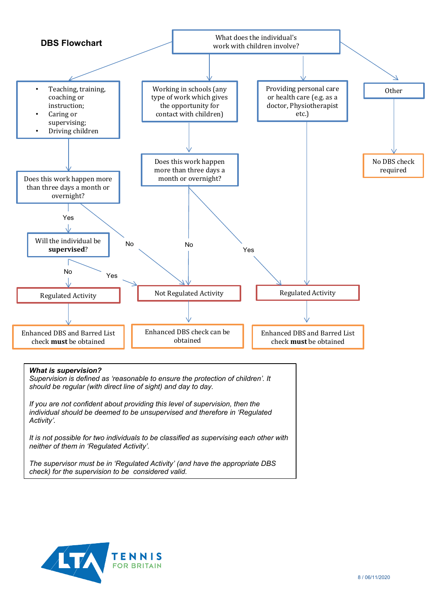

#### *What is supervision?*

*Supervision is defined as 'reasonable to ensure the protection of children'. It should be regular (with direct line of sight) and day to day.*

*If you are not confident about providing this level of supervision, then the individual should be deemed to be unsupervised and therefore in 'Regulated Activity'.*

*It is not possible for two individuals to be classified as supervising each other with neither of them in 'Regulated Activity'.*

*The supervisor must be in 'Regulated Activity' (and have the appropriate DBS check) for the supervision to be considered valid.*